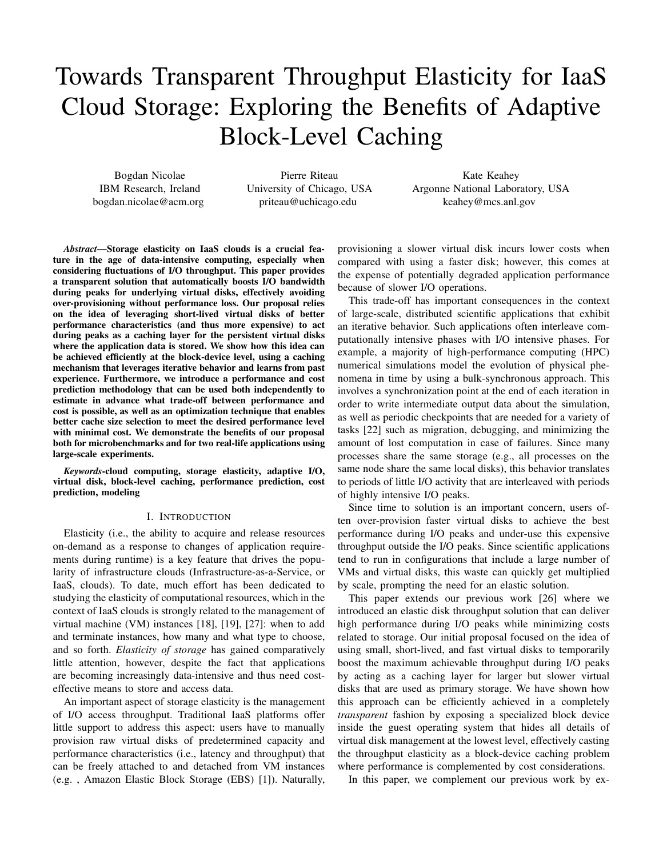# Towards Transparent Throughput Elasticity for IaaS Cloud Storage: Exploring the Benefits of Adaptive Block-Level Caching

Bogdan Nicolae IBM Research, Ireland bogdan.nicolae@acm.org

Pierre Riteau University of Chicago, USA priteau@uchicago.edu

Kate Keahey Argonne National Laboratory, USA keahey@mcs.anl.gov

*Abstract*—Storage elasticity on IaaS clouds is a crucial feature in the age of data-intensive computing, especially when considering fluctuations of I/O throughput. This paper provides a transparent solution that automatically boosts I/O bandwidth during peaks for underlying virtual disks, effectively avoiding over-provisioning without performance loss. Our proposal relies on the idea of leveraging short-lived virtual disks of better performance characteristics (and thus more expensive) to act during peaks as a caching layer for the persistent virtual disks where the application data is stored. We show how this idea can be achieved efficiently at the block-device level, using a caching mechanism that leverages iterative behavior and learns from past experience. Furthermore, we introduce a performance and cost prediction methodology that can be used both independently to estimate in advance what trade-off between performance and cost is possible, as well as an optimization technique that enables better cache size selection to meet the desired performance level with minimal cost. We demonstrate the benefits of our proposal both for microbenchmarks and for two real-life applications using large-scale experiments.

*Keywords*-cloud computing, storage elasticity, adaptive I/O, virtual disk, block-level caching, performance prediction, cost prediction, modeling

# I. INTRODUCTION

Elasticity (i.e., the ability to acquire and release resources on-demand as a response to changes of application requirements during runtime) is a key feature that drives the popularity of infrastructure clouds (Infrastructure-as-a-Service, or IaaS, clouds). To date, much effort has been dedicated to studying the elasticity of computational resources, which in the context of IaaS clouds is strongly related to the management of virtual machine (VM) instances [18], [19], [27]: when to add and terminate instances, how many and what type to choose, and so forth. *Elasticity of storage* has gained comparatively little attention, however, despite the fact that applications are becoming increasingly data-intensive and thus need costeffective means to store and access data.

An important aspect of storage elasticity is the management of I/O access throughput. Traditional IaaS platforms offer little support to address this aspect: users have to manually provision raw virtual disks of predetermined capacity and performance characteristics (i.e., latency and throughput) that can be freely attached to and detached from VM instances (e.g. , Amazon Elastic Block Storage (EBS) [1]). Naturally,

provisioning a slower virtual disk incurs lower costs when compared with using a faster disk; however, this comes at the expense of potentially degraded application performance because of slower I/O operations.

This trade-off has important consequences in the context of large-scale, distributed scientific applications that exhibit an iterative behavior. Such applications often interleave computationally intensive phases with I/O intensive phases. For example, a majority of high-performance computing (HPC) numerical simulations model the evolution of physical phenomena in time by using a bulk-synchronous approach. This involves a synchronization point at the end of each iteration in order to write intermediate output data about the simulation, as well as periodic checkpoints that are needed for a variety of tasks [22] such as migration, debugging, and minimizing the amount of lost computation in case of failures. Since many processes share the same storage (e.g., all processes on the same node share the same local disks), this behavior translates to periods of little I/O activity that are interleaved with periods of highly intensive I/O peaks.

Since time to solution is an important concern, users often over-provision faster virtual disks to achieve the best performance during I/O peaks and under-use this expensive throughput outside the I/O peaks. Since scientific applications tend to run in configurations that include a large number of VMs and virtual disks, this waste can quickly get multiplied by scale, prompting the need for an elastic solution.

This paper extends our previous work [26] where we introduced an elastic disk throughput solution that can deliver high performance during I/O peaks while minimizing costs related to storage. Our initial proposal focused on the idea of using small, short-lived, and fast virtual disks to temporarily boost the maximum achievable throughput during I/O peaks by acting as a caching layer for larger but slower virtual disks that are used as primary storage. We have shown how this approach can be efficiently achieved in a completely *transparent* fashion by exposing a specialized block device inside the guest operating system that hides all details of virtual disk management at the lowest level, effectively casting the throughput elasticity as a block-device caching problem where performance is complemented by cost considerations.

In this paper, we complement our previous work by ex-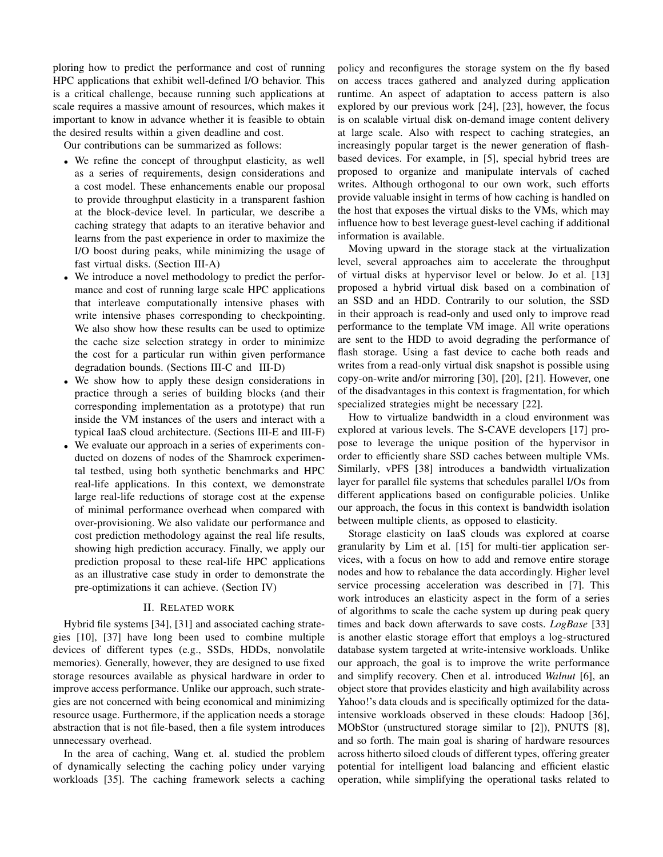ploring how to predict the performance and cost of running HPC applications that exhibit well-defined I/O behavior. This is a critical challenge, because running such applications at scale requires a massive amount of resources, which makes it important to know in advance whether it is feasible to obtain the desired results within a given deadline and cost.

Our contributions can be summarized as follows:

- We refine the concept of throughput elasticity, as well as a series of requirements, design considerations and a cost model. These enhancements enable our proposal to provide throughput elasticity in a transparent fashion at the block-device level. In particular, we describe a caching strategy that adapts to an iterative behavior and learns from the past experience in order to maximize the I/O boost during peaks, while minimizing the usage of fast virtual disks. (Section III-A)
- We introduce a novel methodology to predict the performance and cost of running large scale HPC applications that interleave computationally intensive phases with write intensive phases corresponding to checkpointing. We also show how these results can be used to optimize the cache size selection strategy in order to minimize the cost for a particular run within given performance degradation bounds. (Sections III-C and III-D)
- We show how to apply these design considerations in practice through a series of building blocks (and their corresponding implementation as a prototype) that run inside the VM instances of the users and interact with a typical IaaS cloud architecture. (Sections III-E and III-F)
- We evaluate our approach in a series of experiments conducted on dozens of nodes of the Shamrock experimental testbed, using both synthetic benchmarks and HPC real-life applications. In this context, we demonstrate large real-life reductions of storage cost at the expense of minimal performance overhead when compared with over-provisioning. We also validate our performance and cost prediction methodology against the real life results, showing high prediction accuracy. Finally, we apply our prediction proposal to these real-life HPC applications as an illustrative case study in order to demonstrate the pre-optimizations it can achieve. (Section IV)

# II. RELATED WORK

Hybrid file systems [34], [31] and associated caching strategies [10], [37] have long been used to combine multiple devices of different types (e.g., SSDs, HDDs, nonvolatile memories). Generally, however, they are designed to use fixed storage resources available as physical hardware in order to improve access performance. Unlike our approach, such strategies are not concerned with being economical and minimizing resource usage. Furthermore, if the application needs a storage abstraction that is not file-based, then a file system introduces unnecessary overhead.

In the area of caching, Wang et. al. studied the problem of dynamically selecting the caching policy under varying workloads [35]. The caching framework selects a caching policy and reconfigures the storage system on the fly based on access traces gathered and analyzed during application runtime. An aspect of adaptation to access pattern is also explored by our previous work [24], [23], however, the focus is on scalable virtual disk on-demand image content delivery at large scale. Also with respect to caching strategies, an increasingly popular target is the newer generation of flashbased devices. For example, in [5], special hybrid trees are proposed to organize and manipulate intervals of cached writes. Although orthogonal to our own work, such efforts provide valuable insight in terms of how caching is handled on the host that exposes the virtual disks to the VMs, which may influence how to best leverage guest-level caching if additional information is available.

Moving upward in the storage stack at the virtualization level, several approaches aim to accelerate the throughput of virtual disks at hypervisor level or below. Jo et al. [13] proposed a hybrid virtual disk based on a combination of an SSD and an HDD. Contrarily to our solution, the SSD in their approach is read-only and used only to improve read performance to the template VM image. All write operations are sent to the HDD to avoid degrading the performance of flash storage. Using a fast device to cache both reads and writes from a read-only virtual disk snapshot is possible using copy-on-write and/or mirroring [30], [20], [21]. However, one of the disadvantages in this context is fragmentation, for which specialized strategies might be necessary [22].

How to virtualize bandwidth in a cloud environment was explored at various levels. The S-CAVE developers [17] propose to leverage the unique position of the hypervisor in order to efficiently share SSD caches between multiple VMs. Similarly, vPFS [38] introduces a bandwidth virtualization layer for parallel file systems that schedules parallel I/Os from different applications based on configurable policies. Unlike our approach, the focus in this context is bandwidth isolation between multiple clients, as opposed to elasticity.

Storage elasticity on IaaS clouds was explored at coarse granularity by Lim et al. [15] for multi-tier application services, with a focus on how to add and remove entire storage nodes and how to rebalance the data accordingly. Higher level service processing acceleration was described in [7]. This work introduces an elasticity aspect in the form of a series of algorithms to scale the cache system up during peak query times and back down afterwards to save costs. *LogBase* [33] is another elastic storage effort that employs a log-structured database system targeted at write-intensive workloads. Unlike our approach, the goal is to improve the write performance and simplify recovery. Chen et al. introduced *Walnut* [6], an object store that provides elasticity and high availability across Yahoo!'s data clouds and is specifically optimized for the dataintensive workloads observed in these clouds: Hadoop [36], MObStor (unstructured storage similar to [2]), PNUTS [8], and so forth. The main goal is sharing of hardware resources across hitherto siloed clouds of different types, offering greater potential for intelligent load balancing and efficient elastic operation, while simplifying the operational tasks related to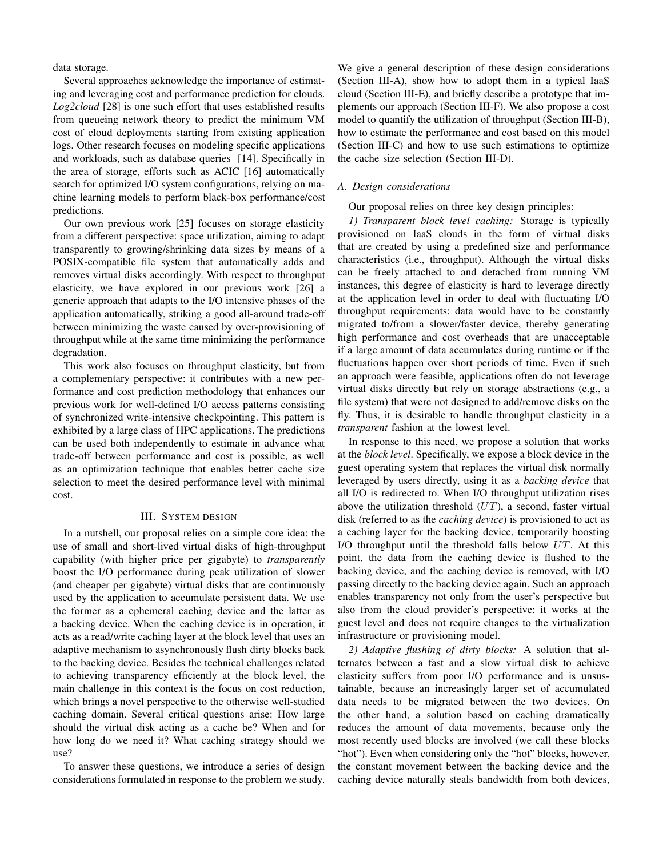data storage.

Several approaches acknowledge the importance of estimating and leveraging cost and performance prediction for clouds. *Log2cloud* [28] is one such effort that uses established results from queueing network theory to predict the minimum VM cost of cloud deployments starting from existing application logs. Other research focuses on modeling specific applications and workloads, such as database queries [14]. Specifically in the area of storage, efforts such as ACIC [16] automatically search for optimized I/O system configurations, relying on machine learning models to perform black-box performance/cost predictions.

Our own previous work [25] focuses on storage elasticity from a different perspective: space utilization, aiming to adapt transparently to growing/shrinking data sizes by means of a POSIX-compatible file system that automatically adds and removes virtual disks accordingly. With respect to throughput elasticity, we have explored in our previous work [26] a generic approach that adapts to the I/O intensive phases of the application automatically, striking a good all-around trade-off between minimizing the waste caused by over-provisioning of throughput while at the same time minimizing the performance degradation.

This work also focuses on throughput elasticity, but from a complementary perspective: it contributes with a new performance and cost prediction methodology that enhances our previous work for well-defined I/O access patterns consisting of synchronized write-intensive checkpointing. This pattern is exhibited by a large class of HPC applications. The predictions can be used both independently to estimate in advance what trade-off between performance and cost is possible, as well as an optimization technique that enables better cache size selection to meet the desired performance level with minimal cost.

# III. SYSTEM DESIGN

In a nutshell, our proposal relies on a simple core idea: the use of small and short-lived virtual disks of high-throughput capability (with higher price per gigabyte) to *transparently* boost the I/O performance during peak utilization of slower (and cheaper per gigabyte) virtual disks that are continuously used by the application to accumulate persistent data. We use the former as a ephemeral caching device and the latter as a backing device. When the caching device is in operation, it acts as a read/write caching layer at the block level that uses an adaptive mechanism to asynchronously flush dirty blocks back to the backing device. Besides the technical challenges related to achieving transparency efficiently at the block level, the main challenge in this context is the focus on cost reduction, which brings a novel perspective to the otherwise well-studied caching domain. Several critical questions arise: How large should the virtual disk acting as a cache be? When and for how long do we need it? What caching strategy should we use?

To answer these questions, we introduce a series of design considerations formulated in response to the problem we study.

We give a general description of these design considerations (Section III-A), show how to adopt them in a typical IaaS cloud (Section III-E), and briefly describe a prototype that implements our approach (Section III-F). We also propose a cost model to quantify the utilization of throughput (Section III-B), how to estimate the performance and cost based on this model (Section III-C) and how to use such estimations to optimize the cache size selection (Section III-D).

## *A. Design considerations*

Our proposal relies on three key design principles:

*1) Transparent block level caching:* Storage is typically provisioned on IaaS clouds in the form of virtual disks that are created by using a predefined size and performance characteristics (i.e., throughput). Although the virtual disks can be freely attached to and detached from running VM instances, this degree of elasticity is hard to leverage directly at the application level in order to deal with fluctuating I/O throughput requirements: data would have to be constantly migrated to/from a slower/faster device, thereby generating high performance and cost overheads that are unacceptable if a large amount of data accumulates during runtime or if the fluctuations happen over short periods of time. Even if such an approach were feasible, applications often do not leverage virtual disks directly but rely on storage abstractions (e.g., a file system) that were not designed to add/remove disks on the fly. Thus, it is desirable to handle throughput elasticity in a *transparent* fashion at the lowest level.

In response to this need, we propose a solution that works at the *block level*. Specifically, we expose a block device in the guest operating system that replaces the virtual disk normally leveraged by users directly, using it as a *backing device* that all I/O is redirected to. When I/O throughput utilization rises above the utilization threshold  $(UT)$ , a second, faster virtual disk (referred to as the *caching device*) is provisioned to act as a caching layer for the backing device, temporarily boosting I/O throughput until the threshold falls below  $UT$ . At this point, the data from the caching device is flushed to the backing device, and the caching device is removed, with I/O passing directly to the backing device again. Such an approach enables transparency not only from the user's perspective but also from the cloud provider's perspective: it works at the guest level and does not require changes to the virtualization infrastructure or provisioning model.

*2) Adaptive flushing of dirty blocks:* A solution that alternates between a fast and a slow virtual disk to achieve elasticity suffers from poor I/O performance and is unsustainable, because an increasingly larger set of accumulated data needs to be migrated between the two devices. On the other hand, a solution based on caching dramatically reduces the amount of data movements, because only the most recently used blocks are involved (we call these blocks "hot"). Even when considering only the "hot" blocks, however, the constant movement between the backing device and the caching device naturally steals bandwidth from both devices,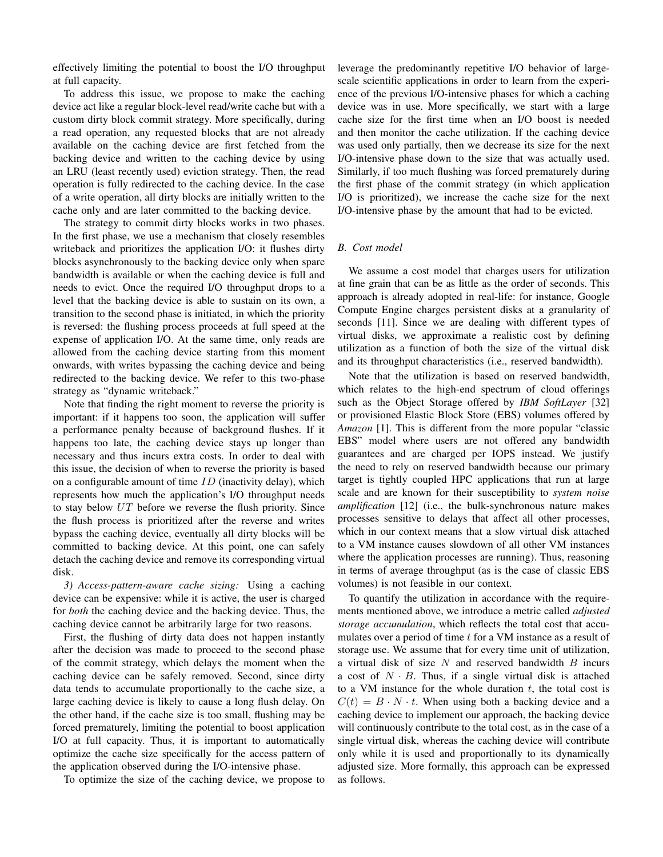effectively limiting the potential to boost the I/O throughput at full capacity.

To address this issue, we propose to make the caching device act like a regular block-level read/write cache but with a custom dirty block commit strategy. More specifically, during a read operation, any requested blocks that are not already available on the caching device are first fetched from the backing device and written to the caching device by using an LRU (least recently used) eviction strategy. Then, the read operation is fully redirected to the caching device. In the case of a write operation, all dirty blocks are initially written to the cache only and are later committed to the backing device.

The strategy to commit dirty blocks works in two phases. In the first phase, we use a mechanism that closely resembles writeback and prioritizes the application I/O: it flushes dirty blocks asynchronously to the backing device only when spare bandwidth is available or when the caching device is full and needs to evict. Once the required I/O throughput drops to a level that the backing device is able to sustain on its own, a transition to the second phase is initiated, in which the priority is reversed: the flushing process proceeds at full speed at the expense of application I/O. At the same time, only reads are allowed from the caching device starting from this moment onwards, with writes bypassing the caching device and being redirected to the backing device. We refer to this two-phase strategy as "dynamic writeback."

Note that finding the right moment to reverse the priority is important: if it happens too soon, the application will suffer a performance penalty because of background flushes. If it happens too late, the caching device stays up longer than necessary and thus incurs extra costs. In order to deal with this issue, the decision of when to reverse the priority is based on a configurable amount of time  $ID$  (inactivity delay), which represents how much the application's I/O throughput needs to stay below UT before we reverse the flush priority. Since the flush process is prioritized after the reverse and writes bypass the caching device, eventually all dirty blocks will be committed to backing device. At this point, one can safely detach the caching device and remove its corresponding virtual disk.

*3) Access-pattern-aware cache sizing:* Using a caching device can be expensive: while it is active, the user is charged for *both* the caching device and the backing device. Thus, the caching device cannot be arbitrarily large for two reasons.

First, the flushing of dirty data does not happen instantly after the decision was made to proceed to the second phase of the commit strategy, which delays the moment when the caching device can be safely removed. Second, since dirty data tends to accumulate proportionally to the cache size, a large caching device is likely to cause a long flush delay. On the other hand, if the cache size is too small, flushing may be forced prematurely, limiting the potential to boost application I/O at full capacity. Thus, it is important to automatically optimize the cache size specifically for the access pattern of the application observed during the I/O-intensive phase.

To optimize the size of the caching device, we propose to

leverage the predominantly repetitive I/O behavior of largescale scientific applications in order to learn from the experience of the previous I/O-intensive phases for which a caching device was in use. More specifically, we start with a large cache size for the first time when an I/O boost is needed and then monitor the cache utilization. If the caching device was used only partially, then we decrease its size for the next I/O-intensive phase down to the size that was actually used. Similarly, if too much flushing was forced prematurely during the first phase of the commit strategy (in which application I/O is prioritized), we increase the cache size for the next I/O-intensive phase by the amount that had to be evicted.

## *B. Cost model*

We assume a cost model that charges users for utilization at fine grain that can be as little as the order of seconds. This approach is already adopted in real-life: for instance, Google Compute Engine charges persistent disks at a granularity of seconds [11]. Since we are dealing with different types of virtual disks, we approximate a realistic cost by defining utilization as a function of both the size of the virtual disk and its throughput characteristics (i.e., reserved bandwidth).

Note that the utilization is based on reserved bandwidth, which relates to the high-end spectrum of cloud offerings such as the Object Storage offered by *IBM SoftLayer* [32] or provisioned Elastic Block Store (EBS) volumes offered by *Amazon* [1]. This is different from the more popular "classic EBS" model where users are not offered any bandwidth guarantees and are charged per IOPS instead. We justify the need to rely on reserved bandwidth because our primary target is tightly coupled HPC applications that run at large scale and are known for their susceptibility to *system noise amplification* [12] (i.e., the bulk-synchronous nature makes processes sensitive to delays that affect all other processes, which in our context means that a slow virtual disk attached to a VM instance causes slowdown of all other VM instances where the application processes are running). Thus, reasoning in terms of average throughput (as is the case of classic EBS volumes) is not feasible in our context.

To quantify the utilization in accordance with the requirements mentioned above, we introduce a metric called *adjusted storage accumulation*, which reflects the total cost that accumulates over a period of time  $t$  for a VM instance as a result of storage use. We assume that for every time unit of utilization, a virtual disk of size  $N$  and reserved bandwidth  $B$  incurs a cost of  $N \cdot B$ . Thus, if a single virtual disk is attached to a VM instance for the whole duration  $t$ , the total cost is  $C(t) = B \cdot N \cdot t$ . When using both a backing device and a caching device to implement our approach, the backing device will continuously contribute to the total cost, as in the case of a single virtual disk, whereas the caching device will contribute only while it is used and proportionally to its dynamically adjusted size. More formally, this approach can be expressed as follows.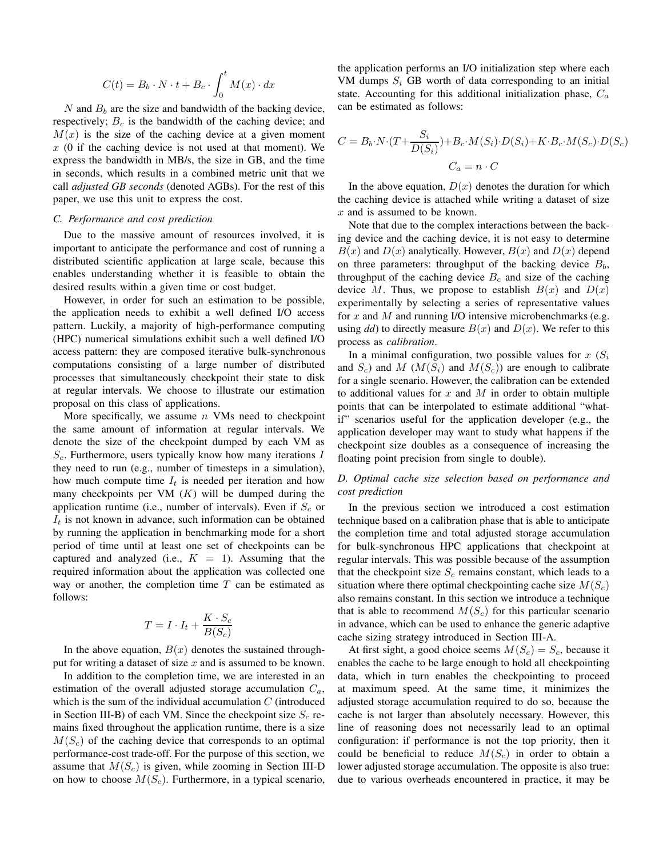$$
C(t) = B_b \cdot N \cdot t + B_c \cdot \int_0^t M(x) \cdot dx
$$

 $N$  and  $B_b$  are the size and bandwidth of the backing device, respectively;  $B_c$  is the bandwidth of the caching device; and  $M(x)$  is the size of the caching device at a given moment  $x$  (0 if the caching device is not used at that moment). We express the bandwidth in MB/s, the size in GB, and the time in seconds, which results in a combined metric unit that we call *adjusted GB seconds* (denoted AGBs). For the rest of this paper, we use this unit to express the cost.

# *C. Performance and cost prediction*

Due to the massive amount of resources involved, it is important to anticipate the performance and cost of running a distributed scientific application at large scale, because this enables understanding whether it is feasible to obtain the desired results within a given time or cost budget.

However, in order for such an estimation to be possible, the application needs to exhibit a well defined I/O access pattern. Luckily, a majority of high-performance computing (HPC) numerical simulations exhibit such a well defined I/O access pattern: they are composed iterative bulk-synchronous computations consisting of a large number of distributed processes that simultaneously checkpoint their state to disk at regular intervals. We choose to illustrate our estimation proposal on this class of applications.

More specifically, we assume  $n$  VMs need to checkpoint the same amount of information at regular intervals. We denote the size of the checkpoint dumped by each VM as  $S_c$ . Furthermore, users typically know how many iterations I they need to run (e.g., number of timesteps in a simulation), how much compute time  $I_t$  is needed per iteration and how many checkpoints per VM  $(K)$  will be dumped during the application runtime (i.e., number of intervals). Even if  $S_c$  or  $I_t$  is not known in advance, such information can be obtained by running the application in benchmarking mode for a short period of time until at least one set of checkpoints can be captured and analyzed (i.e.,  $K = 1$ ). Assuming that the required information about the application was collected one way or another, the completion time  $T$  can be estimated as follows:

$$
T = I \cdot I_t + \frac{K \cdot S_c}{B(S_c)}
$$

In the above equation,  $B(x)$  denotes the sustained throughput for writing a dataset of size  $x$  and is assumed to be known.

In addition to the completion time, we are interested in an estimation of the overall adjusted storage accumulation  $C_a$ , which is the sum of the individual accumulation  $C$  (introduced in Section III-B) of each VM. Since the checkpoint size  $S_c$  remains fixed throughout the application runtime, there is a size  $M(S<sub>c</sub>)$  of the caching device that corresponds to an optimal performance-cost trade-off. For the purpose of this section, we assume that  $M(S_c)$  is given, while zooming in Section III-D on how to choose  $M(S_c)$ . Furthermore, in a typical scenario,

the application performs an I/O initialization step where each VM dumps  $S_i$  GB worth of data corresponding to an initial state. Accounting for this additional initialization phase,  $C_a$ can be estimated as follows:

$$
C = B_b \cdot N \cdot (T + \frac{S_i}{D(S_i)}) + B_c \cdot M(S_i) \cdot D(S_i) + K \cdot B_c \cdot M(S_c) \cdot D(S_c)
$$
  

$$
C_a = n \cdot C
$$

In the above equation,  $D(x)$  denotes the duration for which the caching device is attached while writing a dataset of size  $x$  and is assumed to be known.

Note that due to the complex interactions between the backing device and the caching device, it is not easy to determine  $B(x)$  and  $D(x)$  analytically. However,  $B(x)$  and  $D(x)$  depend on three parameters: throughput of the backing device  $B_b$ , throughput of the caching device  $B_c$  and size of the caching device M. Thus, we propose to establish  $B(x)$  and  $D(x)$ experimentally by selecting a series of representative values for  $x$  and  $M$  and running I/O intensive microbenchmarks (e.g. using *dd*) to directly measure  $B(x)$  and  $D(x)$ . We refer to this process as *calibration*.

In a minimal configuration, two possible values for  $x(S_i)$ and  $S_c$ ) and M ( $M(S_i)$ ) and  $M(S_c)$ ) are enough to calibrate for a single scenario. However, the calibration can be extended to additional values for  $x$  and  $M$  in order to obtain multiple points that can be interpolated to estimate additional "whatif" scenarios useful for the application developer (e.g., the application developer may want to study what happens if the checkpoint size doubles as a consequence of increasing the floating point precision from single to double).

# *D. Optimal cache size selection based on performance and cost prediction*

In the previous section we introduced a cost estimation technique based on a calibration phase that is able to anticipate the completion time and total adjusted storage accumulation for bulk-synchronous HPC applications that checkpoint at regular intervals. This was possible because of the assumption that the checkpoint size  $S_c$  remains constant, which leads to a situation where there optimal checkpointing cache size  $M(S_c)$ also remains constant. In this section we introduce a technique that is able to recommend  $M(S_c)$  for this particular scenario in advance, which can be used to enhance the generic adaptive cache sizing strategy introduced in Section III-A.

At first sight, a good choice seems  $M(S_c) = S_c$ , because it enables the cache to be large enough to hold all checkpointing data, which in turn enables the checkpointing to proceed at maximum speed. At the same time, it minimizes the adjusted storage accumulation required to do so, because the cache is not larger than absolutely necessary. However, this line of reasoning does not necessarily lead to an optimal configuration: if performance is not the top priority, then it could be beneficial to reduce  $M(S_c)$  in order to obtain a lower adjusted storage accumulation. The opposite is also true: due to various overheads encountered in practice, it may be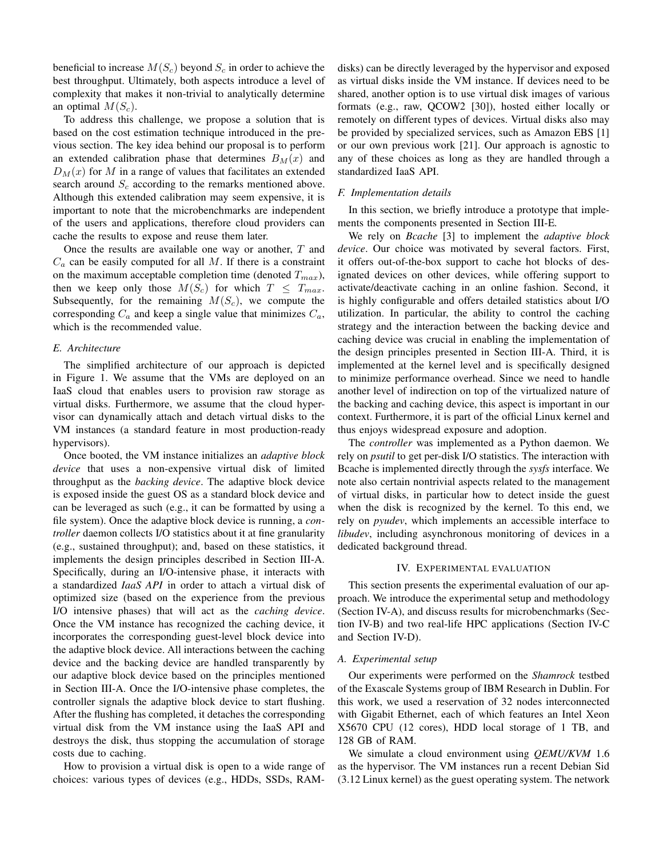beneficial to increase  $M(S_c)$  beyond  $S_c$  in order to achieve the best throughput. Ultimately, both aspects introduce a level of complexity that makes it non-trivial to analytically determine an optimal  $M(S_c)$ .

To address this challenge, we propose a solution that is based on the cost estimation technique introduced in the previous section. The key idea behind our proposal is to perform an extended calibration phase that determines  $B_M(x)$  and  $D_M(x)$  for M in a range of values that facilitates an extended search around  $S_c$  according to the remarks mentioned above. Although this extended calibration may seem expensive, it is important to note that the microbenchmarks are independent of the users and applications, therefore cloud providers can cache the results to expose and reuse them later.

Once the results are available one way or another, T and  $C_a$  can be easily computed for all M. If there is a constraint on the maximum acceptable completion time (denoted  $T_{max}$ ), then we keep only those  $M(S_c)$  for which  $T \leq T_{max}$ . Subsequently, for the remaining  $M(S_c)$ , we compute the corresponding  $C_a$  and keep a single value that minimizes  $C_a$ , which is the recommended value.

## *E. Architecture*

The simplified architecture of our approach is depicted in Figure 1. We assume that the VMs are deployed on an IaaS cloud that enables users to provision raw storage as virtual disks. Furthermore, we assume that the cloud hypervisor can dynamically attach and detach virtual disks to the VM instances (a standard feature in most production-ready hypervisors).

Once booted, the VM instance initializes an *adaptive block device* that uses a non-expensive virtual disk of limited throughput as the *backing device*. The adaptive block device is exposed inside the guest OS as a standard block device and can be leveraged as such (e.g., it can be formatted by using a file system). Once the adaptive block device is running, a *controller* daemon collects I/O statistics about it at fine granularity (e.g., sustained throughput); and, based on these statistics, it implements the design principles described in Section III-A. Specifically, during an I/O-intensive phase, it interacts with a standardized *IaaS API* in order to attach a virtual disk of optimized size (based on the experience from the previous I/O intensive phases) that will act as the *caching device*. Once the VM instance has recognized the caching device, it incorporates the corresponding guest-level block device into the adaptive block device. All interactions between the caching device and the backing device are handled transparently by our adaptive block device based on the principles mentioned in Section III-A. Once the I/O-intensive phase completes, the controller signals the adaptive block device to start flushing. After the flushing has completed, it detaches the corresponding virtual disk from the VM instance using the IaaS API and destroys the disk, thus stopping the accumulation of storage costs due to caching.

How to provision a virtual disk is open to a wide range of choices: various types of devices (e.g., HDDs, SSDs, RAM-

disks) can be directly leveraged by the hypervisor and exposed as virtual disks inside the VM instance. If devices need to be shared, another option is to use virtual disk images of various formats (e.g., raw, QCOW2 [30]), hosted either locally or remotely on different types of devices. Virtual disks also may be provided by specialized services, such as Amazon EBS [1] or our own previous work [21]. Our approach is agnostic to any of these choices as long as they are handled through a standardized IaaS API.

## *F. Implementation details*

In this section, we briefly introduce a prototype that implements the components presented in Section III-E.

We rely on *Bcache* [3] to implement the *adaptive block device*. Our choice was motivated by several factors. First, it offers out-of-the-box support to cache hot blocks of designated devices on other devices, while offering support to activate/deactivate caching in an online fashion. Second, it is highly configurable and offers detailed statistics about I/O utilization. In particular, the ability to control the caching strategy and the interaction between the backing device and caching device was crucial in enabling the implementation of the design principles presented in Section III-A. Third, it is implemented at the kernel level and is specifically designed to minimize performance overhead. Since we need to handle another level of indirection on top of the virtualized nature of the backing and caching device, this aspect is important in our context. Furthermore, it is part of the official Linux kernel and thus enjoys widespread exposure and adoption.

The *controller* was implemented as a Python daemon. We rely on *psutil* to get per-disk I/O statistics. The interaction with Bcache is implemented directly through the *sysfs* interface. We note also certain nontrivial aspects related to the management of virtual disks, in particular how to detect inside the guest when the disk is recognized by the kernel. To this end, we rely on *pyudev*, which implements an accessible interface to *libudev*, including asynchronous monitoring of devices in a dedicated background thread.

### IV. EXPERIMENTAL EVALUATION

This section presents the experimental evaluation of our approach. We introduce the experimental setup and methodology (Section IV-A), and discuss results for microbenchmarks (Section IV-B) and two real-life HPC applications (Section IV-C and Section IV-D).

# *A. Experimental setup*

Our experiments were performed on the *Shamrock* testbed of the Exascale Systems group of IBM Research in Dublin. For this work, we used a reservation of 32 nodes interconnected with Gigabit Ethernet, each of which features an Intel Xeon X5670 CPU (12 cores), HDD local storage of 1 TB, and 128 GB of RAM.

We simulate a cloud environment using *QEMU/KVM* 1.6 as the hypervisor. The VM instances run a recent Debian Sid (3.12 Linux kernel) as the guest operating system. The network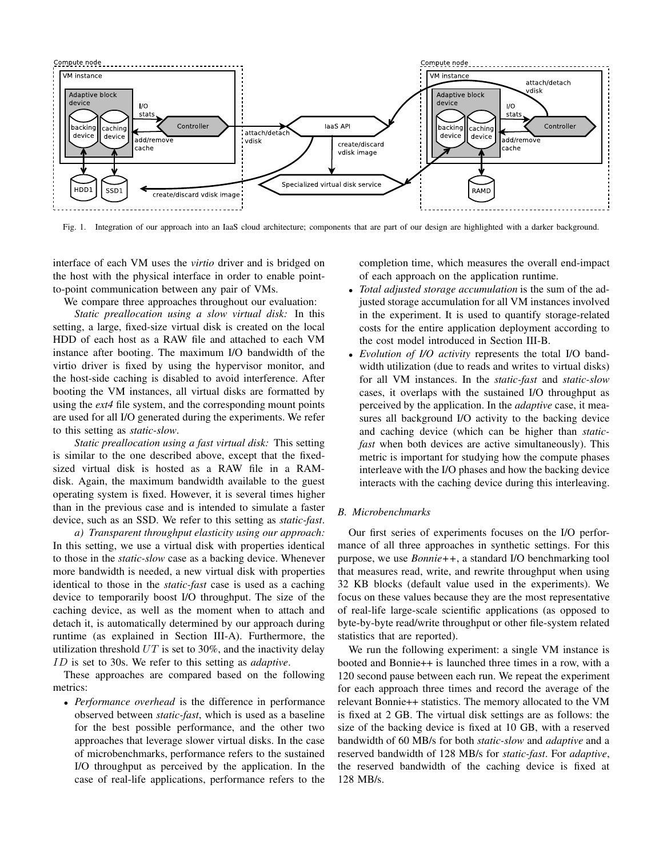

Fig. 1. Integration of our approach into an IaaS cloud architecture; components that are part of our design are highlighted with a darker background.

interface of each VM uses the *virtio* driver and is bridged on the host with the physical interface in order to enable pointto-point communication between any pair of VMs.

We compare three approaches throughout our evaluation:

*Static preallocation using a slow virtual disk:* In this setting, a large, fixed-size virtual disk is created on the local HDD of each host as a RAW file and attached to each VM instance after booting. The maximum I/O bandwidth of the virtio driver is fixed by using the hypervisor monitor, and the host-side caching is disabled to avoid interference. After booting the VM instances, all virtual disks are formatted by using the *ext4* file system, and the corresponding mount points are used for all I/O generated during the experiments. We refer to this setting as *static-slow*.

*Static preallocation using a fast virtual disk:* This setting is similar to the one described above, except that the fixedsized virtual disk is hosted as a RAW file in a RAMdisk. Again, the maximum bandwidth available to the guest operating system is fixed. However, it is several times higher than in the previous case and is intended to simulate a faster device, such as an SSD. We refer to this setting as *static-fast*.

*a) Transparent throughput elasticity using our approach:* In this setting, we use a virtual disk with properties identical to those in the *static-slow* case as a backing device. Whenever more bandwidth is needed, a new virtual disk with properties identical to those in the *static-fast* case is used as a caching device to temporarily boost I/O throughput. The size of the caching device, as well as the moment when to attach and detach it, is automatically determined by our approach during runtime (as explained in Section III-A). Furthermore, the utilization threshold  $UT$  is set to 30%, and the inactivity delay ID is set to 30s. We refer to this setting as *adaptive*.

These approaches are compared based on the following metrics:

• *Performance overhead* is the difference in performance observed between *static-fast*, which is used as a baseline for the best possible performance, and the other two approaches that leverage slower virtual disks. In the case of microbenchmarks, performance refers to the sustained I/O throughput as perceived by the application. In the case of real-life applications, performance refers to the

completion time, which measures the overall end-impact of each approach on the application runtime.

- *Total adjusted storage accumulation* is the sum of the adjusted storage accumulation for all VM instances involved in the experiment. It is used to quantify storage-related costs for the entire application deployment according to the cost model introduced in Section III-B.
- *Evolution of I/O activity* represents the total I/O bandwidth utilization (due to reads and writes to virtual disks) for all VM instances. In the *static-fast* and *static-slow* cases, it overlaps with the sustained I/O throughput as perceived by the application. In the *adaptive* case, it measures all background I/O activity to the backing device and caching device (which can be higher than *staticfast* when both devices are active simultaneously). This metric is important for studying how the compute phases interleave with the I/O phases and how the backing device interacts with the caching device during this interleaving.

## *B. Microbenchmarks*

Our first series of experiments focuses on the I/O performance of all three approaches in synthetic settings. For this purpose, we use *Bonnie++*, a standard I/O benchmarking tool that measures read, write, and rewrite throughput when using 32 KB blocks (default value used in the experiments). We focus on these values because they are the most representative of real-life large-scale scientific applications (as opposed to byte-by-byte read/write throughput or other file-system related statistics that are reported).

We run the following experiment: a single VM instance is booted and Bonnie++ is launched three times in a row, with a 120 second pause between each run. We repeat the experiment for each approach three times and record the average of the relevant Bonnie++ statistics. The memory allocated to the VM is fixed at 2 GB. The virtual disk settings are as follows: the size of the backing device is fixed at 10 GB, with a reserved bandwidth of 60 MB/s for both *static-slow* and *adaptive* and a reserved bandwidth of 128 MB/s for *static-fast*. For *adaptive*, the reserved bandwidth of the caching device is fixed at 128 MB/s.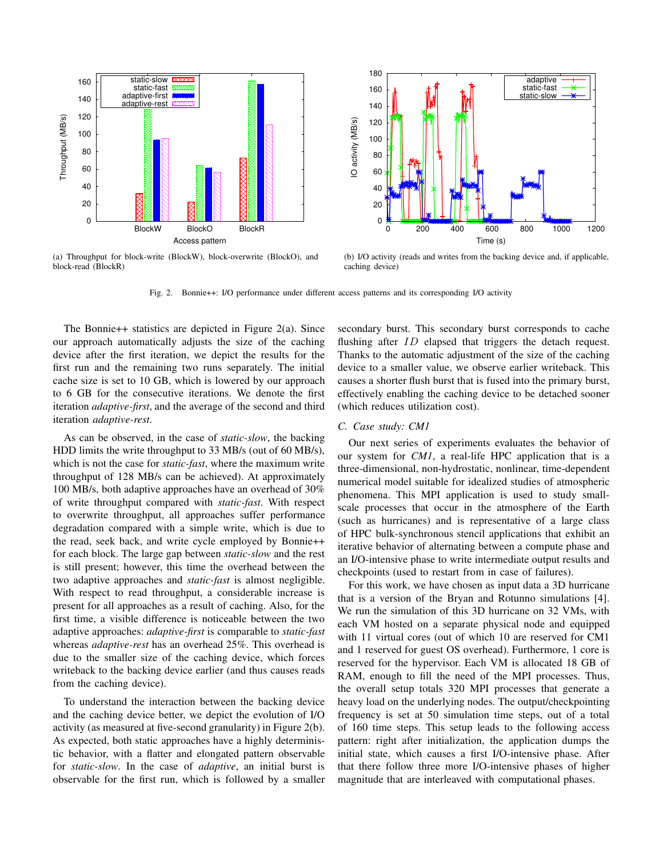

(a) Throughput for block-write (BlockW), block-overwrite (BlockO), and block-read (BlockR)



(b) I/O activity (reads and writes from the backing device and, if applicable, caching device)

Fig. 2. Bonnie++: I/O performance under different access patterns and its corresponding I/O activity

The Bonnie++ statistics are depicted in Figure 2(a). Since our approach automatically adjusts the size of the caching device after the first iteration, we depict the results for the first run and the remaining two runs separately. The initial cache size is set to 10 GB, which is lowered by our approach to 6 GB for the consecutive iterations. We denote the first iteration *adaptive-first*, and the average of the second and third iteration *adaptive-rest*.

As can be observed, in the case of *static-slow*, the backing HDD limits the write throughput to 33 MB/s (out of 60 MB/s), which is not the case for *static-fast*, where the maximum write throughput of 128 MB/s can be achieved). At approximately 100 MB/s, both adaptive approaches have an overhead of 30% of write throughput compared with *static-fast*. With respect to overwrite throughput, all approaches suffer performance degradation compared with a simple write, which is due to the read, seek back, and write cycle employed by Bonnie++ for each block. The large gap between *static-slow* and the rest is still present; however, this time the overhead between the two adaptive approaches and *static-fast* is almost negligible. With respect to read throughput, a considerable increase is present for all approaches as a result of caching. Also, for the first time, a visible difference is noticeable between the two adaptive approaches: *adaptive-first* is comparable to *static-fast* whereas *adaptive-rest* has an overhead 25%. This overhead is due to the smaller size of the caching device, which forces writeback to the backing device earlier (and thus causes reads from the caching device).

To understand the interaction between the backing device and the caching device better, we depict the evolution of I/O activity (as measured at five-second granularity) in Figure 2(b). As expected, both static approaches have a highly deterministic behavior, with a flatter and elongated pattern observable for *static-slow*. In the case of *adaptive*, an initial burst is observable for the first run, which is followed by a smaller

secondary burst. This secondary burst corresponds to cache flushing after *ID* elapsed that triggers the detach request. Thanks to the automatic adjustment of the size of the caching device to a smaller value, we observe earlier writeback. This causes a shorter flush burst that is fused into the primary burst, effectively enabling the caching device to be detached sooner (which reduces utilization cost).

# *C. Case study: CM1*

Our next series of experiments evaluates the behavior of our system for *CM1*, a real-life HPC application that is a three-dimensional, non-hydrostatic, nonlinear, time-dependent numerical model suitable for idealized studies of atmospheric phenomena. This MPI application is used to study smallscale processes that occur in the atmosphere of the Earth (such as hurricanes) and is representative of a large class of HPC bulk-synchronous stencil applications that exhibit an iterative behavior of alternating between a compute phase and an I/O-intensive phase to write intermediate output results and checkpoints (used to restart from in case of failures).

For this work, we have chosen as input data a 3D hurricane that is a version of the Bryan and Rotunno simulations [4]. We run the simulation of this 3D hurricane on 32 VMs, with each VM hosted on a separate physical node and equipped with 11 virtual cores (out of which 10 are reserved for CM1 and 1 reserved for guest OS overhead). Furthermore, 1 core is reserved for the hypervisor. Each VM is allocated 18 GB of RAM, enough to fill the need of the MPI processes. Thus, the overall setup totals 320 MPI processes that generate a heavy load on the underlying nodes. The output/checkpointing frequency is set at 50 simulation time steps, out of a total of 160 time steps. This setup leads to the following access pattern: right after initialization, the application dumps the initial state, which causes a first I/O-intensive phase. After that there follow three more I/O-intensive phases of higher magnitude that are interleaved with computational phases.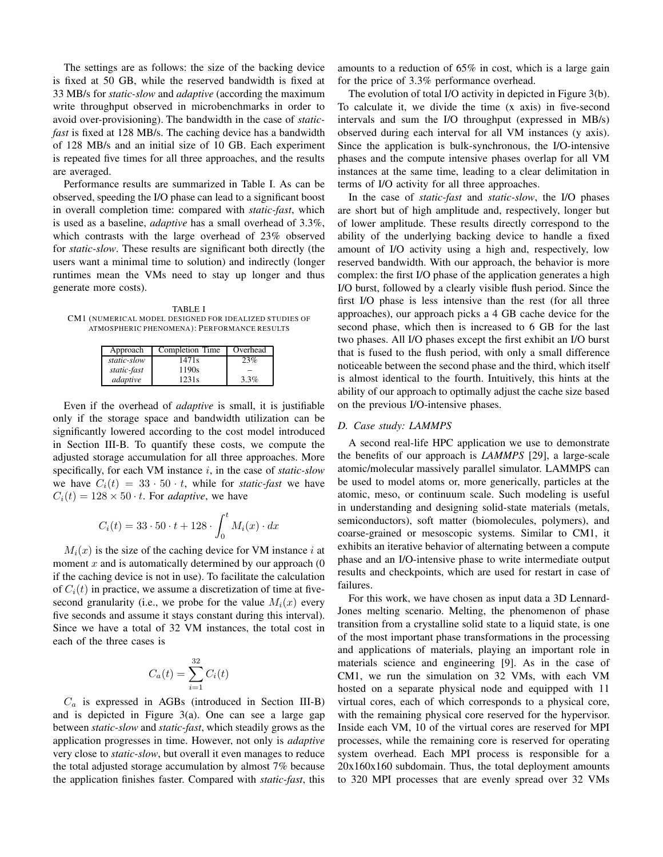The settings are as follows: the size of the backing device is fixed at 50 GB, while the reserved bandwidth is fixed at 33 MB/s for *static-slow* and *adaptive* (according the maximum write throughput observed in microbenchmarks in order to avoid over-provisioning). The bandwidth in the case of *staticfast* is fixed at 128 MB/s. The caching device has a bandwidth of 128 MB/s and an initial size of 10 GB. Each experiment is repeated five times for all three approaches, and the results are averaged.

Performance results are summarized in Table I. As can be observed, speeding the I/O phase can lead to a significant boost in overall completion time: compared with *static-fast*, which is used as a baseline, *adaptive* has a small overhead of 3.3%, which contrasts with the large overhead of 23% observed for *static-slow*. These results are significant both directly (the users want a minimal time to solution) and indirectly (longer runtimes mean the VMs need to stay up longer and thus generate more costs).

TABLE I CM1 (NUMERICAL MODEL DESIGNED FOR IDEALIZED STUDIES OF ATMOSPHERIC PHENOMENA): PERFORMANCE RESULTS

| Approach    | Completion Time | Overhead |
|-------------|-----------------|----------|
| static-slow | 1471s           | 23%      |
| static-fast | 1190s           |          |
| adaptive    | 1231s           | $3.3\%$  |

Even if the overhead of *adaptive* is small, it is justifiable only if the storage space and bandwidth utilization can be significantly lowered according to the cost model introduced in Section III-B. To quantify these costs, we compute the adjusted storage accumulation for all three approaches. More specifically, for each VM instance i, in the case of *static-slow* we have  $C_i(t) = 33 \cdot 50 \cdot t$ , while for *static-fast* we have  $C_i(t) = 128 \times 50 \cdot t$ . For *adaptive*, we have

$$
C_i(t) = 33 \cdot 50 \cdot t + 128 \cdot \int_0^t M_i(x) \cdot dx
$$

 $M_i(x)$  is the size of the caching device for VM instance i at moment  $x$  and is automatically determined by our approach  $(0)$ if the caching device is not in use). To facilitate the calculation of  $C_i(t)$  in practice, we assume a discretization of time at fivesecond granularity (i.e., we probe for the value  $M_i(x)$  every five seconds and assume it stays constant during this interval). Since we have a total of 32 VM instances, the total cost in each of the three cases is

$$
C_a(t) = \sum_{i=1}^{32} C_i(t)
$$

 $C_a$  is expressed in AGBs (introduced in Section III-B) and is depicted in Figure 3(a). One can see a large gap between *static-slow* and *static-fast*, which steadily grows as the application progresses in time. However, not only is *adaptive* very close to *static-slow*, but overall it even manages to reduce the total adjusted storage accumulation by almost 7% because the application finishes faster. Compared with *static-fast*, this amounts to a reduction of 65% in cost, which is a large gain for the price of 3.3% performance overhead.

The evolution of total I/O activity in depicted in Figure 3(b). To calculate it, we divide the time (x axis) in five-second intervals and sum the I/O throughput (expressed in MB/s) observed during each interval for all VM instances (y axis). Since the application is bulk-synchronous, the I/O-intensive phases and the compute intensive phases overlap for all VM instances at the same time, leading to a clear delimitation in terms of I/O activity for all three approaches.

In the case of *static-fast* and *static-slow*, the I/O phases are short but of high amplitude and, respectively, longer but of lower amplitude. These results directly correspond to the ability of the underlying backing device to handle a fixed amount of I/O activity using a high and, respectively, low reserved bandwidth. With our approach, the behavior is more complex: the first I/O phase of the application generates a high I/O burst, followed by a clearly visible flush period. Since the first I/O phase is less intensive than the rest (for all three approaches), our approach picks a 4 GB cache device for the second phase, which then is increased to 6 GB for the last two phases. All I/O phases except the first exhibit an I/O burst that is fused to the flush period, with only a small difference noticeable between the second phase and the third, which itself is almost identical to the fourth. Intuitively, this hints at the ability of our approach to optimally adjust the cache size based on the previous I/O-intensive phases.

# *D. Case study: LAMMPS*

A second real-life HPC application we use to demonstrate the benefits of our approach is *LAMMPS* [29], a large-scale atomic/molecular massively parallel simulator. LAMMPS can be used to model atoms or, more generically, particles at the atomic, meso, or continuum scale. Such modeling is useful in understanding and designing solid-state materials (metals, semiconductors), soft matter (biomolecules, polymers), and coarse-grained or mesoscopic systems. Similar to CM1, it exhibits an iterative behavior of alternating between a compute phase and an I/O-intensive phase to write intermediate output results and checkpoints, which are used for restart in case of failures.

For this work, we have chosen as input data a 3D Lennard-Jones melting scenario. Melting, the phenomenon of phase transition from a crystalline solid state to a liquid state, is one of the most important phase transformations in the processing and applications of materials, playing an important role in materials science and engineering [9]. As in the case of CM1, we run the simulation on 32 VMs, with each VM hosted on a separate physical node and equipped with 11 virtual cores, each of which corresponds to a physical core, with the remaining physical core reserved for the hypervisor. Inside each VM, 10 of the virtual cores are reserved for MPI processes, while the remaining core is reserved for operating system overhead. Each MPI process is responsible for a 20x160x160 subdomain. Thus, the total deployment amounts to 320 MPI processes that are evenly spread over 32 VMs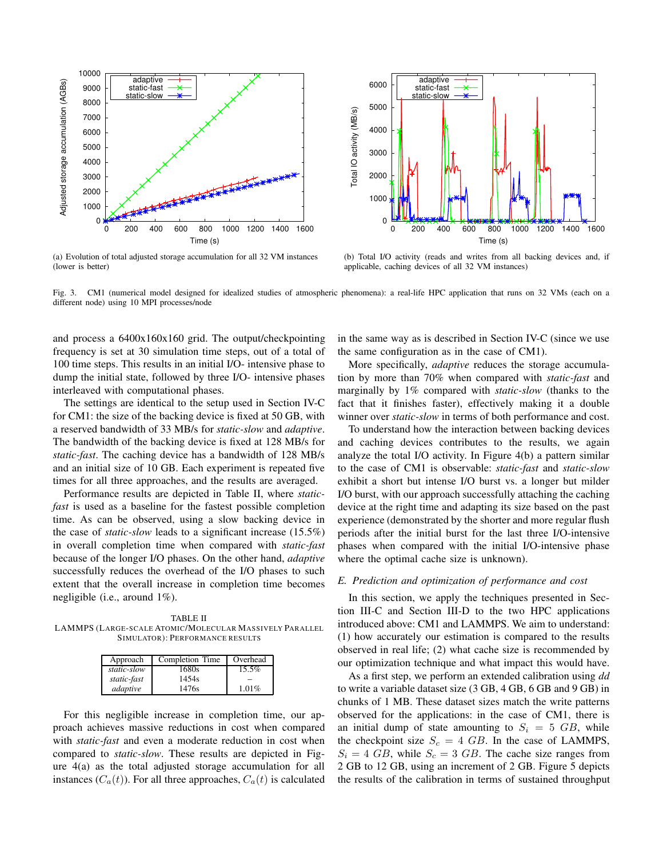

(a) Evolution of total adjusted storage accumulation for all 32 VM instances (lower is better)



(b) Total I/O activity (reads and writes from all backing devices and, if applicable, caching devices of all 32 VM instances)

Fig. 3. CM1 (numerical model designed for idealized studies of atmospheric phenomena): a real-life HPC application that runs on 32 VMs (each on a different node) using 10 MPI processes/node

and process a 6400x160x160 grid. The output/checkpointing frequency is set at 30 simulation time steps, out of a total of 100 time steps. This results in an initial I/O- intensive phase to dump the initial state, followed by three I/O- intensive phases interleaved with computational phases.

The settings are identical to the setup used in Section IV-C for CM1: the size of the backing device is fixed at 50 GB, with a reserved bandwidth of 33 MB/s for *static-slow* and *adaptive*. The bandwidth of the backing device is fixed at 128 MB/s for *static-fast*. The caching device has a bandwidth of 128 MB/s and an initial size of 10 GB. Each experiment is repeated five times for all three approaches, and the results are averaged.

Performance results are depicted in Table II, where *staticfast* is used as a baseline for the fastest possible completion time. As can be observed, using a slow backing device in the case of *static-slow* leads to a significant increase (15.5%) in overall completion time when compared with *static-fast* because of the longer I/O phases. On the other hand, *adaptive* successfully reduces the overhead of the I/O phases to such extent that the overall increase in completion time becomes negligible (i.e., around 1%).

TABLE II LAMMPS (LARGE-SCALE ATOMIC/MOLECULAR MASSIVELY PARALLEL SIMULATOR): PERFORMANCE RESULTS

| Approach    | Completion Time | Overhead |
|-------------|-----------------|----------|
| static-slow | 1680s           | 15.5%    |
| static-fast | 1454s           |          |
| adaptive    | 1476s           | 1.01%    |

For this negligible increase in completion time, our approach achieves massive reductions in cost when compared with *static-fast* and even a moderate reduction in cost when compared to *static-slow*. These results are depicted in Figure 4(a) as the total adjusted storage accumulation for all instances  $(C_a(t))$ . For all three approaches,  $C_a(t)$  is calculated in the same way as is described in Section IV-C (since we use the same configuration as in the case of CM1).

More specifically, *adaptive* reduces the storage accumulation by more than 70% when compared with *static-fast* and marginally by 1% compared with *static-slow* (thanks to the fact that it finishes faster), effectively making it a double winner over *static-slow* in terms of both performance and cost.

To understand how the interaction between backing devices and caching devices contributes to the results, we again analyze the total I/O activity. In Figure 4(b) a pattern similar to the case of CM1 is observable: *static-fast* and *static-slow* exhibit a short but intense I/O burst vs. a longer but milder I/O burst, with our approach successfully attaching the caching device at the right time and adapting its size based on the past experience (demonstrated by the shorter and more regular flush periods after the initial burst for the last three I/O-intensive phases when compared with the initial I/O-intensive phase where the optimal cache size is unknown).

# *E. Prediction and optimization of performance and cost*

In this section, we apply the techniques presented in Section III-C and Section III-D to the two HPC applications introduced above: CM1 and LAMMPS. We aim to understand: (1) how accurately our estimation is compared to the results observed in real life; (2) what cache size is recommended by our optimization technique and what impact this would have.

As a first step, we perform an extended calibration using *dd* to write a variable dataset size (3 GB, 4 GB, 6 GB and 9 GB) in chunks of 1 MB. These dataset sizes match the write patterns observed for the applications: in the case of CM1, there is an initial dump of state amounting to  $S_i = 5$  GB, while the checkpoint size  $S_c = 4$  GB. In the case of LAMMPS,  $S_i = 4$  GB, while  $S_c = 3$  GB. The cache size ranges from 2 GB to 12 GB, using an increment of 2 GB. Figure 5 depicts the results of the calibration in terms of sustained throughput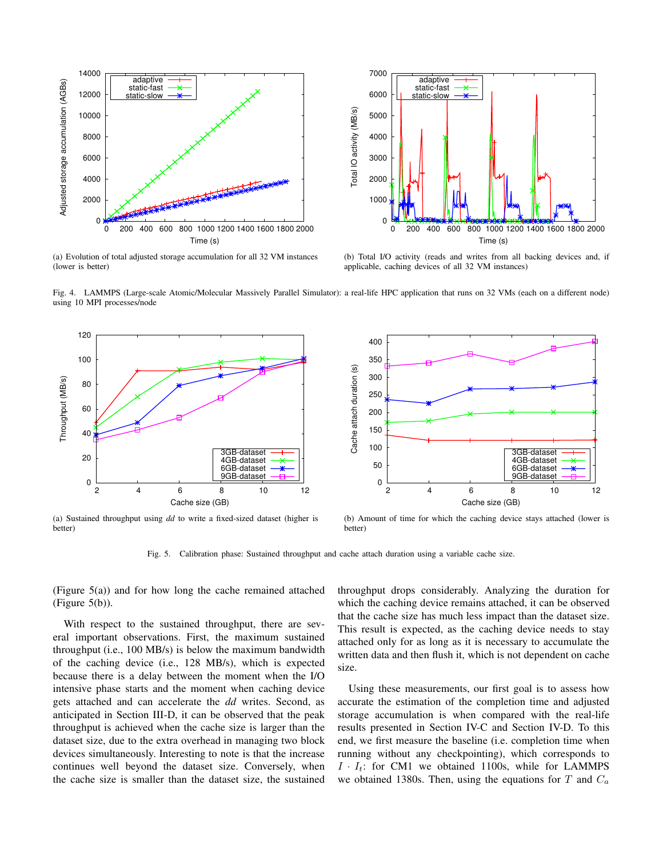



(a) Evolution of total adjusted storage accumulation for all 32 VM instances (lower is better)

(b) Total I/O activity (reads and writes from all backing devices and, if applicable, caching devices of all 32 VM instances)

Fig. 4. LAMMPS (Large-scale Atomic/Molecular Massively Parallel Simulator): a real-life HPC application that runs on 32 VMs (each on a different node) using 10 MPI processes/node



(a) Sustained throughput using *dd* to write a fixed-sized dataset (higher is better)

(b) Amount of time for which the caching device stays attached (lower is better)

Fig. 5. Calibration phase: Sustained throughput and cache attach duration using a variable cache size.

(Figure 5(a)) and for how long the cache remained attached (Figure 5(b)).

With respect to the sustained throughput, there are several important observations. First, the maximum sustained throughput (i.e., 100 MB/s) is below the maximum bandwidth of the caching device (i.e., 128 MB/s), which is expected because there is a delay between the moment when the I/O intensive phase starts and the moment when caching device gets attached and can accelerate the *dd* writes. Second, as anticipated in Section III-D, it can be observed that the peak throughput is achieved when the cache size is larger than the dataset size, due to the extra overhead in managing two block devices simultaneously. Interesting to note is that the increase continues well beyond the dataset size. Conversely, when the cache size is smaller than the dataset size, the sustained throughput drops considerably. Analyzing the duration for which the caching device remains attached, it can be observed that the cache size has much less impact than the dataset size. This result is expected, as the caching device needs to stay attached only for as long as it is necessary to accumulate the written data and then flush it, which is not dependent on cache size.

Using these measurements, our first goal is to assess how accurate the estimation of the completion time and adjusted storage accumulation is when compared with the real-life results presented in Section IV-C and Section IV-D. To this end, we first measure the baseline (i.e. completion time when running without any checkpointing), which corresponds to  $I \cdot I_t$ : for CM1 we obtained 1100s, while for LAMMPS we obtained 1380s. Then, using the equations for  $T$  and  $C_a$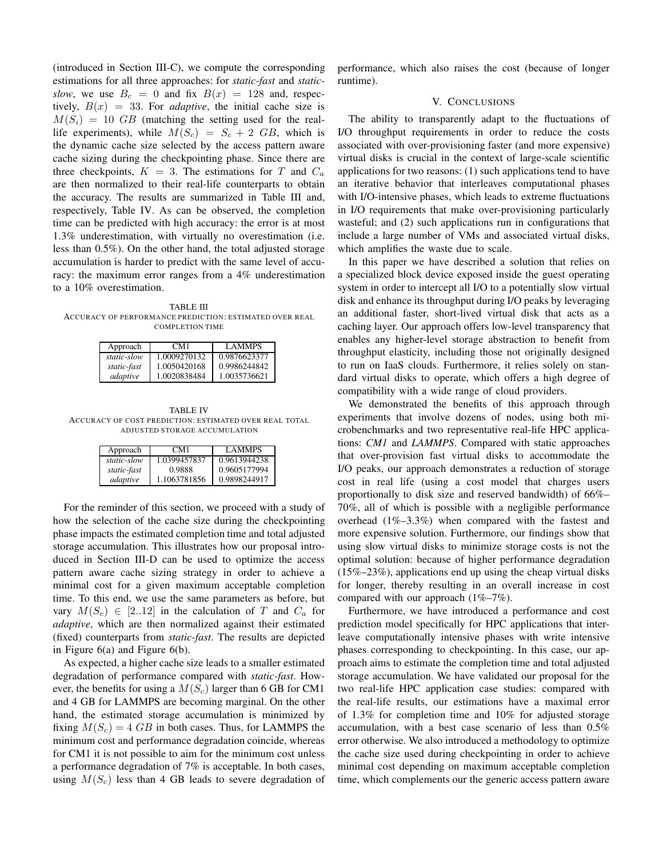(introduced in Section III-C), we compute the corresponding estimations for all three approaches: for *static-fast* and *staticslow*, we use  $B_c = 0$  and fix  $B(x) = 128$  and, respectively,  $B(x) = 33$ . For *adaptive*, the initial cache size is  $M(S_i) = 10$  GB (matching the setting used for the reallife experiments), while  $M(S_c) = S_c + 2 GB$ , which is the dynamic cache size selected by the access pattern aware cache sizing during the checkpointing phase. Since there are three checkpoints,  $K = 3$ . The estimations for T and  $C_a$ are then normalized to their real-life counterparts to obtain the accuracy. The results are summarized in Table III and, respectively, Table IV. As can be observed, the completion time can be predicted with high accuracy: the error is at most 1.3% underestimation, with virtually no overestimation (i.e. less than 0.5%). On the other hand, the total adjusted storage accumulation is harder to predict with the same level of accuracy: the maximum error ranges from a 4% underestimation to a 10% overestimation.

TABLE III ACCURACY OF PERFORMANCE PREDICTION: ESTIMATED OVER REAL COMPLETION TIME

| Approach    | CM1          | <b>LAMMPS</b> |
|-------------|--------------|---------------|
| static-slow | 1.0009270132 | 0.9876623377  |
| static-fast | 1.0050420168 | 0.9986244842  |
| adaptive    | 1.0020838484 | 1.0035736621  |

TABLE IV ACCURACY OF COST PREDICTION: ESTIMATED OVER REAL TOTAL ADJUSTED STORAGE ACCUMULATION

| Approach    | CM1          | <b>LAMMPS</b> |
|-------------|--------------|---------------|
| static-slow | 1.0399457837 | 0.9613944238  |
| static-fast | 0.9888       | 0.9605177994  |
| adaptive    | 1.1063781856 | 0.9898244917  |

For the reminder of this section, we proceed with a study of how the selection of the cache size during the checkpointing phase impacts the estimated completion time and total adjusted storage accumulation. This illustrates how our proposal introduced in Section III-D can be used to optimize the access pattern aware cache sizing strategy in order to achieve a minimal cost for a given maximum acceptable completion time. To this end, we use the same parameters as before, but vary  $M(S_c) \in [2..12]$  in the calculation of T and  $C_a$  for *adaptive*, which are then normalized against their estimated (fixed) counterparts from *static-fast*. The results are depicted in Figure 6(a) and Figure 6(b).

As expected, a higher cache size leads to a smaller estimated degradation of performance compared with *static-fast*. However, the benefits for using a  $M(S_c)$  larger than 6 GB for CM1 and 4 GB for LAMMPS are becoming marginal. On the other hand, the estimated storage accumulation is minimized by fixing  $M(S<sub>c</sub>) = 4 GB$  in both cases. Thus, for LAMMPS the minimum cost and performance degradation coincide, whereas for CM1 it is not possible to aim for the minimum cost unless a performance degradation of 7% is acceptable. In both cases, using  $M(S_c)$  less than 4 GB leads to severe degradation of performance, which also raises the cost (because of longer runtime).

# V. CONCLUSIONS

The ability to transparently adapt to the fluctuations of I/O throughput requirements in order to reduce the costs associated with over-provisioning faster (and more expensive) virtual disks is crucial in the context of large-scale scientific applications for two reasons: (1) such applications tend to have an iterative behavior that interleaves computational phases with I/O-intensive phases, which leads to extreme fluctuations in I/O requirements that make over-provisioning particularly wasteful; and (2) such applications run in configurations that include a large number of VMs and associated virtual disks, which amplifies the waste due to scale.

In this paper we have described a solution that relies on a specialized block device exposed inside the guest operating system in order to intercept all I/O to a potentially slow virtual disk and enhance its throughput during I/O peaks by leveraging an additional faster, short-lived virtual disk that acts as a caching layer. Our approach offers low-level transparency that enables any higher-level storage abstraction to benefit from throughput elasticity, including those not originally designed to run on IaaS clouds. Furthermore, it relies solely on standard virtual disks to operate, which offers a high degree of compatibility with a wide range of cloud providers.

We demonstrated the benefits of this approach through experiments that involve dozens of nodes, using both microbenchmarks and two representative real-life HPC applications: *CM1* and *LAMMPS*. Compared with static approaches that over-provision fast virtual disks to accommodate the I/O peaks, our approach demonstrates a reduction of storage cost in real life (using a cost model that charges users proportionally to disk size and reserved bandwidth) of 66%– 70%, all of which is possible with a negligible performance overhead (1%–3.3%) when compared with the fastest and more expensive solution. Furthermore, our findings show that using slow virtual disks to minimize storage costs is not the optimal solution: because of higher performance degradation (15%–23%), applications end up using the cheap virtual disks for longer, thereby resulting in an overall increase in cost compared with our approach (1%–7%).

Furthermore, we have introduced a performance and cost prediction model specifically for HPC applications that interleave computationally intensive phases with write intensive phases corresponding to checkpointing. In this case, our approach aims to estimate the completion time and total adjusted storage accumulation. We have validated our proposal for the two real-life HPC application case studies: compared with the real-life results, our estimations have a maximal error of 1.3% for completion time and 10% for adjusted storage accumulation, with a best case scenario of less than 0.5% error otherwise. We also introduced a methodology to optimize the cache size used during checkpointing in order to achieve minimal cost depending on maximum acceptable completion time, which complements our the generic access pattern aware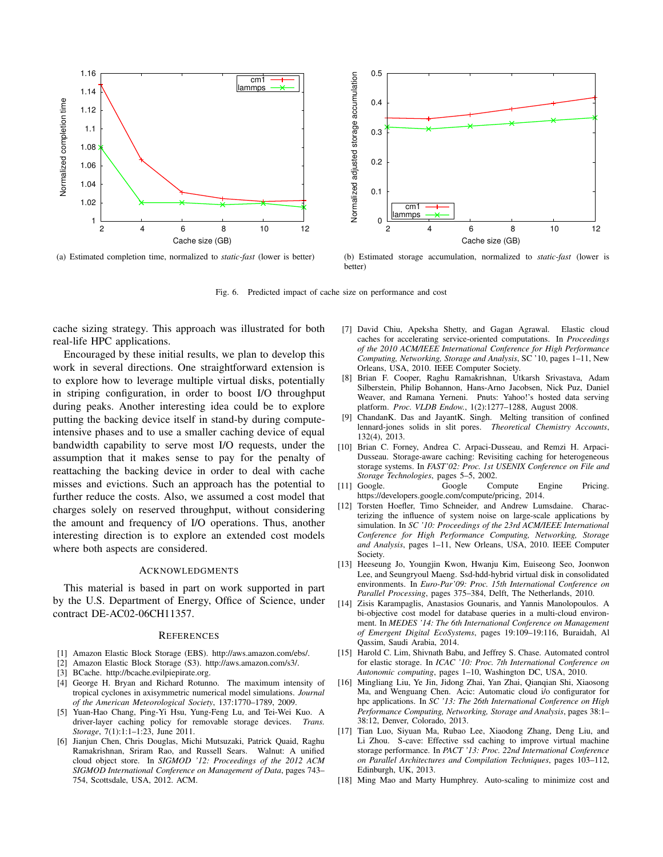

(a) Estimated completion time, normalized to *static-fast* (lower is better)



(b) Estimated storage accumulation, normalized to *static-fast* (lower is better)

Fig. 6. Predicted impact of cache size on performance and cost

cache sizing strategy. This approach was illustrated for both real-life HPC applications.

Encouraged by these initial results, we plan to develop this work in several directions. One straightforward extension is to explore how to leverage multiple virtual disks, potentially in striping configuration, in order to boost I/O throughput during peaks. Another interesting idea could be to explore putting the backing device itself in stand-by during computeintensive phases and to use a smaller caching device of equal bandwidth capability to serve most I/O requests, under the assumption that it makes sense to pay for the penalty of reattaching the backing device in order to deal with cache misses and evictions. Such an approach has the potential to further reduce the costs. Also, we assumed a cost model that charges solely on reserved throughput, without considering the amount and frequency of I/O operations. Thus, another interesting direction is to explore an extended cost models where both aspects are considered.

#### ACKNOWLEDGMENTS

This material is based in part on work supported in part by the U.S. Department of Energy, Office of Science, under contract DE-AC02-06CH11357.

#### **REFERENCES**

- [1] Amazon Elastic Block Storage (EBS). http://aws.amazon.com/ebs/.
- [2] Amazon Elastic Block Storage (S3). http://aws.amazon.com/s3/.
- [3] BCache. http://bcache.evilpiepirate.org.
- [4] George H. Bryan and Richard Rotunno. The maximum intensity of tropical cyclones in axisymmetric numerical model simulations. *Journal of the American Meteorological Society*, 137:1770–1789, 2009.
- [5] Yuan-Hao Chang, Ping-Yi Hsu, Yung-Feng Lu, and Tei-Wei Kuo. A driver-layer caching policy for removable storage devices. *Trans. Storage*, 7(1):1:1–1:23, June 2011.
- [6] Jianjun Chen, Chris Douglas, Michi Mutsuzaki, Patrick Quaid, Raghu Ramakrishnan, Sriram Rao, and Russell Sears. Walnut: A unified cloud object store. In *SIGMOD '12: Proceedings of the 2012 ACM SIGMOD International Conference on Management of Data*, pages 743– 754, Scottsdale, USA, 2012. ACM.
- [7] David Chiu, Apeksha Shetty, and Gagan Agrawal. Elastic cloud caches for accelerating service-oriented computations. In *Proceedings of the 2010 ACM/IEEE International Conference for High Performance Computing, Networking, Storage and Analysis*, SC '10, pages 1–11, New Orleans, USA, 2010. IEEE Computer Society.
- [8] Brian F. Cooper, Raghu Ramakrishnan, Utkarsh Srivastava, Adam Silberstein, Philip Bohannon, Hans-Arno Jacobsen, Nick Puz, Daniel Weaver, and Ramana Yerneni. Pnuts: Yahoo!'s hosted data serving platform. *Proc. VLDB Endow.*, 1(2):1277–1288, August 2008.
- [9] ChandanK. Das and JayantK. Singh. Melting transition of confined lennard-jones solids in slit pores. *Theoretical Chemistry Accounts*, 132(4), 2013.
- [10] Brian C. Forney, Andrea C. Arpaci-Dusseau, and Remzi H. Arpaci-Dusseau. Storage-aware caching: Revisiting caching for heterogeneous storage systems. In *FAST'02: Proc. 1st USENIX Conference on File and Storage Technologies*, pages 5–5, 2002.
- [11] Google. Google Compute Engine Pricing. https://developers.google.com/compute/pricing, 2014.
- [12] Torsten Hoefler, Timo Schneider, and Andrew Lumsdaine. Characterizing the influence of system noise on large-scale applications by simulation. In *SC '10: Proceedings of the 23rd ACM/IEEE International Conference for High Performance Computing, Networking, Storage and Analysis*, pages 1–11, New Orleans, USA, 2010. IEEE Computer Society.
- [13] Heeseung Jo, Youngjin Kwon, Hwanju Kim, Euiseong Seo, Joonwon Lee, and Seungryoul Maeng. Ssd-hdd-hybrid virtual disk in consolidated environments. In *Euro-Par'09: Proc. 15th International Conference on Parallel Processing*, pages 375–384, Delft, The Netherlands, 2010.
- [14] Zisis Karampaglis, Anastasios Gounaris, and Yannis Manolopoulos. A bi-objective cost model for database queries in a multi-cloud environment. In *MEDES '14: The 6th International Conference on Management of Emergent Digital EcoSystems*, pages 19:109–19:116, Buraidah, Al Qassim, Saudi Arabia, 2014.
- [15] Harold C. Lim, Shivnath Babu, and Jeffrey S. Chase. Automated control for elastic storage. In *ICAC '10: Proc. 7th International Conference on Autonomic computing*, pages 1–10, Washington DC, USA, 2010.
- [16] Mingliang Liu, Ye Jin, Jidong Zhai, Yan Zhai, Qianqian Shi, Xiaosong Ma, and Wenguang Chen. Acic: Automatic cloud i/o configurator for hpc applications. In *SC '13: The 26th International Conference on High Performance Computing, Networking, Storage and Analysis*, pages 38:1– 38:12, Denver, Colorado, 2013.
- [17] Tian Luo, Siyuan Ma, Rubao Lee, Xiaodong Zhang, Deng Liu, and Li Zhou. S-cave: Effective ssd caching to improve virtual machine storage performance. In *PACT '13: Proc. 22nd International Conference on Parallel Architectures and Compilation Techniques*, pages 103–112, Edinburgh, UK, 2013.
- [18] Ming Mao and Marty Humphrey. Auto-scaling to minimize cost and